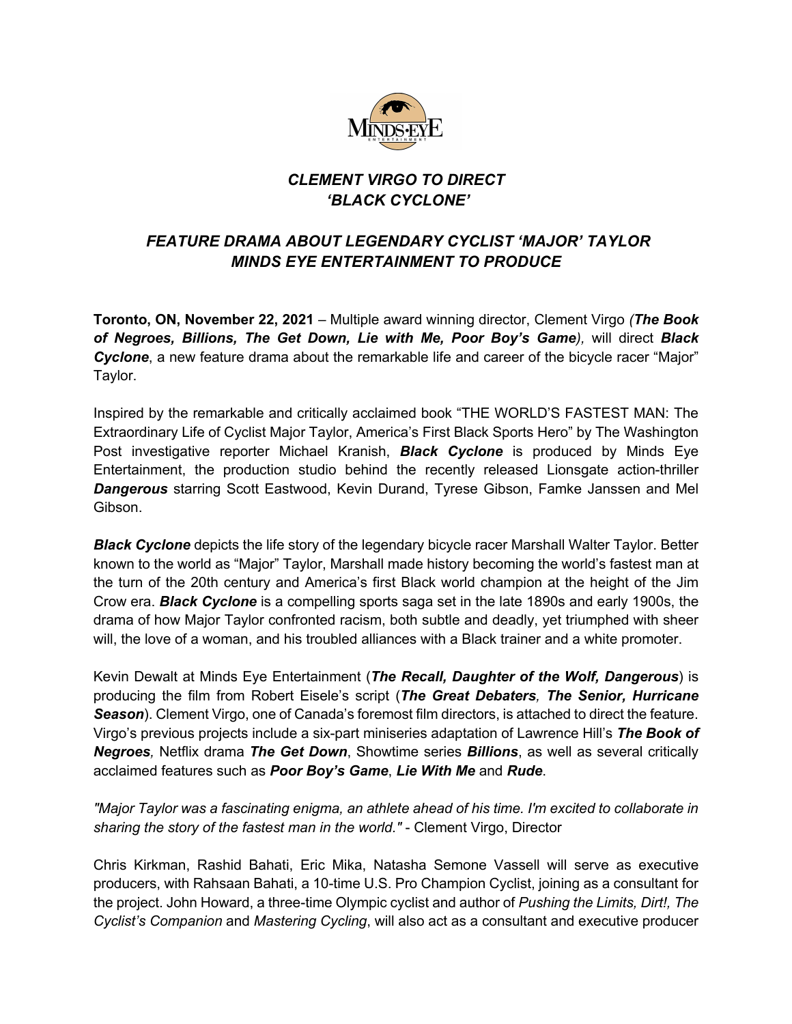

## *CLEMENT VIRGO TO DIRECT 'BLACK CYCLONE'*

## *FEATURE DRAMA ABOUT LEGENDARY CYCLIST 'MAJOR' TAYLOR MINDS EYE ENTERTAINMENT TO PRODUCE*

**Toronto, ON, November 22, 2021** – Multiple award winning director, Clement Virgo *(The Book of Negroes, Billions, The Get Down, Lie with Me, Poor Boy's Game),* will direct *Black*  **Cyclone**, a new feature drama about the remarkable life and career of the bicycle racer "Major" Taylor.

Inspired by the remarkable and critically acclaimed book "THE WORLD'S FASTEST MAN: The Extraordinary Life of Cyclist Major Taylor, America's First Black Sports Hero" by The Washington Post investigative reporter Michael Kranish, *Black Cyclone* is produced by Minds Eye Entertainment, the production studio behind the recently released Lionsgate action-thriller *Dangerous* starring Scott Eastwood, Kevin Durand, Tyrese Gibson, Famke Janssen and Mel Gibson.

*Black Cyclone* depicts the life story of the legendary bicycle racer Marshall Walter Taylor. Better known to the world as "Major" Taylor, Marshall made history becoming the world's fastest man at the turn of the 20th century and America's first Black world champion at the height of the Jim Crow era. *Black Cyclone* is a compelling sports saga set in the late 1890s and early 1900s, the drama of how Major Taylor confronted racism, both subtle and deadly, yet triumphed with sheer will, the love of a woman, and his troubled alliances with a Black trainer and a white promoter.

Kevin Dewalt at Minds Eye Entertainment (*The Recall, Daughter of the Wolf, Dangerous*) is producing the film from Robert Eisele's script (*The Great Debaters, The Senior, Hurricane*  **Season**). Clement Virgo, one of Canada's foremost film directors, is attached to direct the feature. Virgo's previous projects include a six-part miniseries adaptation of Lawrence Hill's *The Book of Negroes,* Netflix drama *The Get Down*, Showtime series *Billions*, as well as several critically acclaimed features such as *Poor Boy's Game*, *Lie With Me* and *Rude*.

*"Major Taylor was a fascinating enigma, an athlete ahead of his time. I'm excited to collaborate in sharing the story of the fastest man in the world."* - Clement Virgo, Director

Chris Kirkman, Rashid Bahati, Eric Mika, Natasha Semone Vassell will serve as executive producers, with Rahsaan Bahati, a 10-time U.S. Pro Champion Cyclist, joining as a consultant for the project. John Howard, a three-time Olympic cyclist and author of *Pushing the Limits, Dirt!, The Cyclist's Companion* and *Mastering Cycling*, will also act as a consultant and executive producer